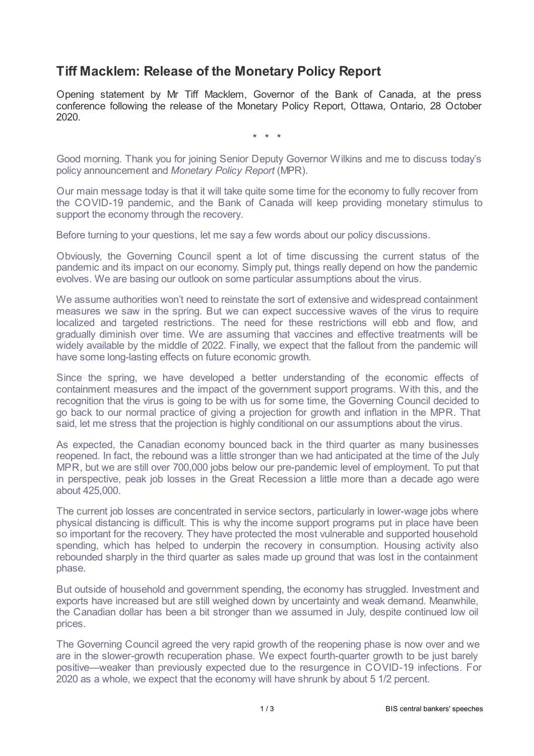## **Tiff Macklem: Release of the Monetary Policy Report**

Opening statement by Mr Tiff Macklem, Governor of the Bank of Canada, at the press conference following the release of the Monetary Policy Report, Ottawa, Ontario, 28 October 2020.

\* \* \*

Good morning. Thank you for joining Senior Deputy Governor Wilkins and me to discuss today's policy announcement and *Monetary Policy Report* (MPR).

Our main message today is that it will take quite some time for the economy to fully recover from the COVID-19 pandemic, and the Bank of Canada will keep providing monetary stimulus to support the economy through the recovery.

Before turning to your questions, let me say a few words about our policy discussions.

Obviously, the Governing Council spent a lot of time discussing the current status of the pandemic and its impact on our economy. Simply put, things really depend on how the pandemic evolves. We are basing our outlook on some particular assumptions about the virus.

We assume authorities won't need to reinstate the sort of extensive and widespread containment measures we saw in the spring. But we can expect successive waves of the virus to require localized and targeted restrictions. The need for these restrictions will ebb and flow, and gradually diminish over time. We are assuming that vaccines and effective treatments will be widely available by the middle of 2022. Finally, we expect that the fallout from the pandemic will have some long-lasting effects on future economic growth.

Since the spring, we have developed a better understanding of the economic effects of containment measures and the impact of the government support programs. With this, and the recognition that the virus is going to be with us for some time, the Governing Council decided to go back to our normal practice of giving a projection for growth and inflation in the MPR. That said, let me stress that the projection is highly conditional on our assumptions about the virus.

As expected, the Canadian economy bounced back in the third quarter as many businesses reopened. In fact, the rebound was a little stronger than we had anticipated at the time of the July MPR, but we are still over 700,000 jobs below our pre-pandemic level of employment. To put that in perspective, peak job losses in the Great Recession a little more than a decade ago were about 425,000.

The current job losses are concentrated in service sectors, particularly in lower-wage jobs where physical distancing is difficult. This is why the income support programs put in place have been so important for the recovery. They have protected the most vulnerable and supported household spending, which has helped to underpin the recovery in consumption. Housing activity also rebounded sharply in the third quarter as sales made up ground that was lost in the containment phase.

But outside of household and government spending, the economy has struggled. Investment and exports have increased but are still weighed down by uncertainty and weak demand. Meanwhile, the Canadian dollar has been a bit stronger than we assumed in July, despite continued low oil prices.

The Governing Council agreed the very rapid growth of the reopening phase is now over and we are in the slower-growth recuperation phase. We expect fourth-quarter growth to be just barely positive—weaker than previously expected due to the resurgence in COVID-19 infections. For 2020 as a whole, we expect that the economy will have shrunk by about 5 1/2 percent.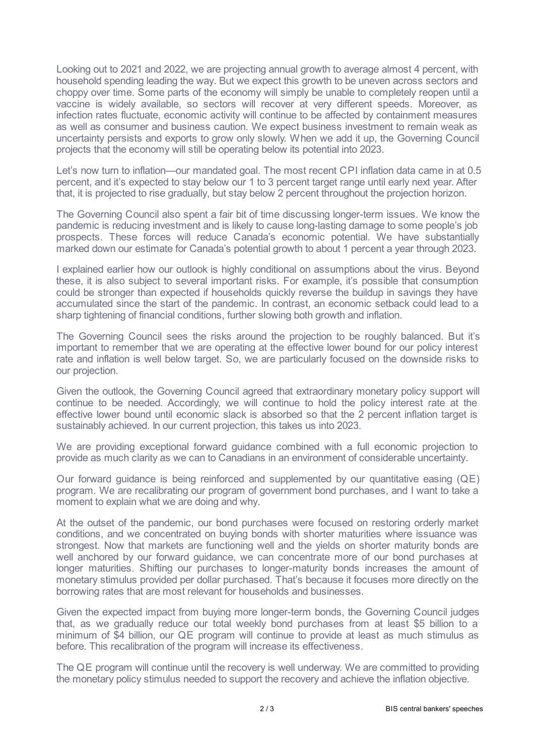Looking out to 2021 and 2022, we are projecting annual growth to average almost 4 percent, with household spending leading the way. But we expect this growth to be uneven across sectors and choppy over time. Some parts of the economy will simply be unable to completely reopen until a vaccine is widely available, so sectors will recover at very different speeds. Moreover, as infection rates fluctuate, economic activity will continue to be affected by containment measures as well as consumer and business caution. We expect business investment to remain weak as uncertainty persists and exports to grow only slowly. When we add it up, the Governing Council projects that the economy will still be operating below its potential into 2023.

Let's now turn to inflation—our mandated goal. The most recent CPI inflation data came in at 0.5 percent, and it's expected to stay below our 1 to 3 percent target range until early next year. After that, it is projected to rise gradually, but stay below 2 percent throughout the projection horizon.

The Governing Council also spent a fair bit of time discussing longer-term issues. We know the pandemic is reducing investment and is likely to cause long-lasting damage to some people's job prospects. These forces will reduce Canada's economic potential. We have substantially marked down our estimate for Canada's potential growth to about 1 percent a year through 2023.

I explained earlier how our outlook is highly conditional on assumptions about the virus. Beyond these, it is also subject to several important risks. For example, it's possible that consumption could be stronger than expected if households quickly reverse the buildup in savings they have accumulated since the start of the pandemic. In contrast, an economic setback could lead to a sharp tightening of financial conditions, further slowing both growth and inflation.

The Governing Council sees the risks around the projection to be roughly balanced. But it's important to remember that we are operating at the effective lower bound for our policy interest rate and inflation is well below target. So, we are particularly focused on the downside risks to our projection.

Given the outlook, the Governing Council agreed that extraordinary monetary policy support will continue to be needed. Accordingly, we will continue to hold the policy interest rate at the effective lower bound until economic slack is absorbed so that the 2 percent inflation target is sustainably achieved. In our current projection, this takes us into 2023.

We are providing exceptional forward guidance combined with a full economic projection to provide as much clarity as we can to Canadians in an environment of considerable uncertainty.

Our forward guidance is being reinforced and supplemented by our quantitative easing (QE) program. We are recalibrating our program of government bond purchases, and I want to take a moment to explain what we are doing and why.

At the outset of the pandemic, our bond purchases were focused on restoring orderly market conditions, and we concentrated on buying bonds with shorter maturities where issuance was strongest. Now that markets are functioning well and the yields on shorter maturity bonds are well anchored by our forward guidance, we can concentrate more of our bond purchases at longer maturities. Shifting our purchases to longer-maturity bonds increases the amount of monetary stimulus provided per dollar purchased. That's because it focuses more directly on the borrowing rates that are most relevant for households and businesses.

Given the expected impact from buying more longer-term bonds, the Governing Council judges that, as we gradually reduce our total weekly bond purchases from at least \$5 billion to a minimum of \$4 billion, our QE program will continue to provide at least as much stimulus as before. This recalibration of the program will increase its effectiveness.

The QE program will continue until the recovery is well underway. We are committed to providing the monetary policy stimulus needed to support the recovery and achieve the inflation objective.